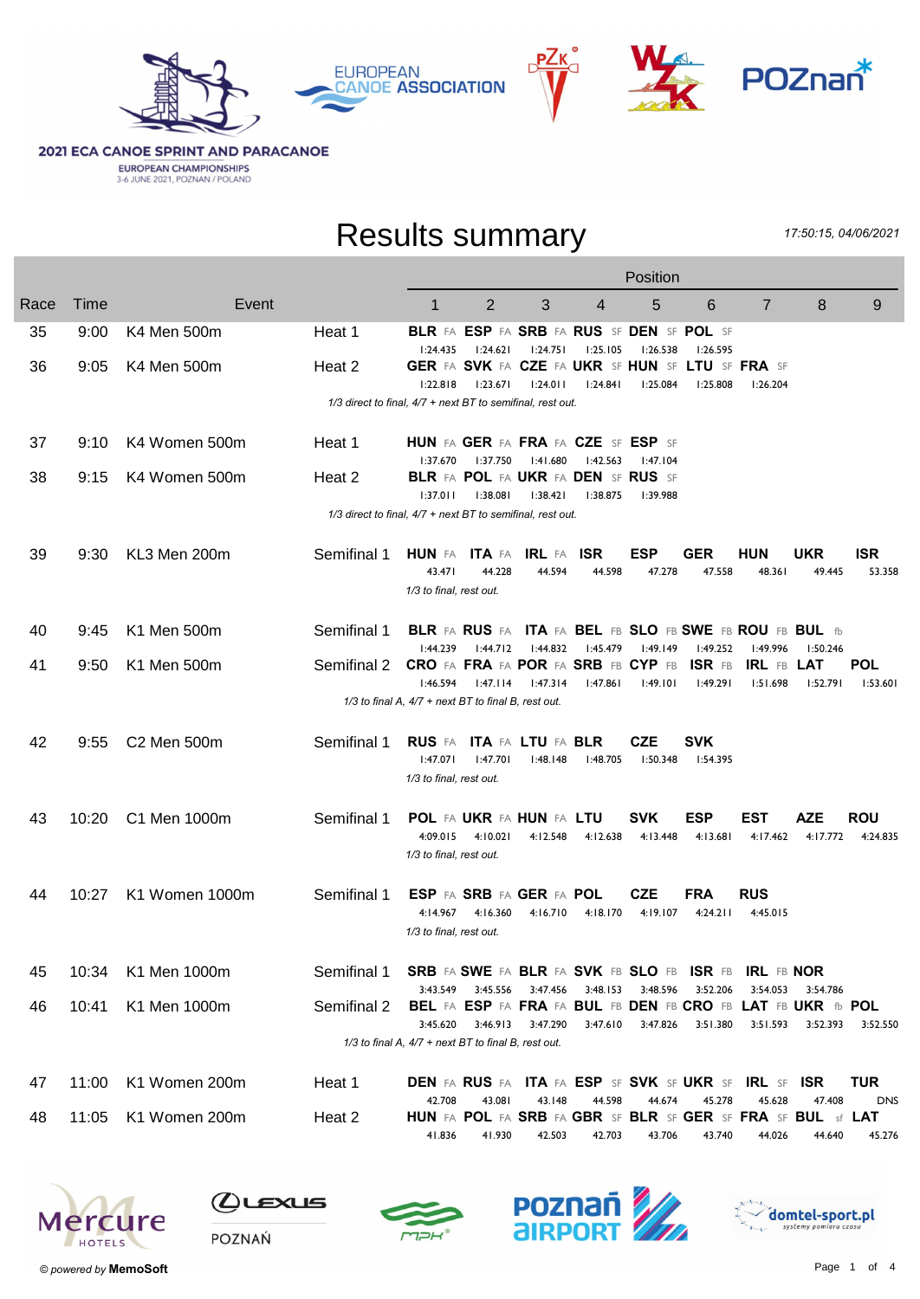







**2021 ECA CANOE SPRINT AND PARACANOE EUROPEAN CHAMPIONSHIPS**<br>3-6 JUNE 2021, POZNAN / POLAND

#### Results summary

17:50:15, 04/06/2021

|      |       |                |                                                            |                                                       |                                                       |          |            | Position   |                                                       |                                                                         |                 |                 |
|------|-------|----------------|------------------------------------------------------------|-------------------------------------------------------|-------------------------------------------------------|----------|------------|------------|-------------------------------------------------------|-------------------------------------------------------------------------|-----------------|-----------------|
| Race | Time  | Event          |                                                            | 1                                                     | $\overline{2}$                                        | 3        | 4          | 5          | 6                                                     | $\overline{7}$                                                          | 8               | 9               |
| 35   | 9:00  | K4 Men 500m    | Heat 1                                                     | 1:24.435                                              | 1:24.621                                              | 1:24.751 | 1:25.105   | 1:26.538   | BLR FA ESP FA SRB FA RUS SF DEN SF POL SF<br>I:26.595 |                                                                         |                 |                 |
| 36   | 9:05  | K4 Men 500m    | Heat 2                                                     |                                                       |                                                       |          |            |            | GER FA SVK FA CZE FA UKR SF HUN SF LTU SF FRA SF      |                                                                         |                 |                 |
|      |       |                | 1/3 direct to final, 4/7 + next BT to semifinal, rest out. | 1:22.818                                              | 1:23.671                                              | 1:24.011 | 1:24.841   | 1:25.084   | 1:25.808                                              | 1:26.204                                                                |                 |                 |
|      |       |                |                                                            |                                                       |                                                       |          |            |            |                                                       |                                                                         |                 |                 |
| 37   | 9:10  | K4 Women 500m  | Heat 1                                                     | HUN FA GER FA FRA FA CZE SF ESP SF<br>1:37.670        | l:37.750                                              | 1:41.680 | 1:42.563   | 1:47.104   |                                                       |                                                                         |                 |                 |
| 38   | 9:15  | K4 Women 500m  | Heat 2                                                     | 1:37.011                                              | <b>BLR</b> FA POL FA UKR FA DEN SF RUS SF<br>1:38.081 | 1:38.421 | 1:38.875   | 1:39.988   |                                                       |                                                                         |                 |                 |
|      |       |                | 1/3 direct to final, 4/7 + next BT to semifinal, rest out. |                                                       |                                                       |          |            |            |                                                       |                                                                         |                 |                 |
|      |       |                |                                                            |                                                       |                                                       |          |            |            |                                                       |                                                                         |                 |                 |
| 39   | 9:30  | KL3 Men 200m   | Semifinal 1                                                | <b>HUN</b> FA ITA FA IRL FA                           |                                                       |          | <b>ISR</b> | <b>ESP</b> | GER                                                   | <b>HUN</b>                                                              | UKR             | <b>ISR</b>      |
|      |       |                |                                                            | 43.471                                                | 44.228                                                | 44.594   | 44.598     | 47.278     | 47.558                                                | 48.361                                                                  | 49.445          | 53.358          |
|      |       |                |                                                            | 1/3 to final, rest out.                               |                                                       |          |            |            |                                                       |                                                                         |                 |                 |
| 40   | 9:45  | K1 Men 500m    | Semifinal 1                                                |                                                       |                                                       |          |            |            |                                                       | BLR FA RUS FA ITA FA BEL FB SLO FB SWE FB ROU FB BUL fb                 |                 |                 |
|      |       |                |                                                            | 1:44.239                                              | 1:44.712                                              | 1:44.832 | 1:45.479   | 1:49.149   | 1:49.252                                              | 1:49.996                                                                | 1:50.246        |                 |
| 41   | 9:50  | K1 Men 500m    | Semifinal 2                                                | <b>CRO FA FRA FA POR FA SRB FB CYP FB</b><br>1:46.594 | 1:47.114                                              | 1:47.314 | 1:47.861   | 1:49.101   | ISR FB<br>1:49.291                                    | IRL FB<br>1:51.698                                                      | LAT<br>1:52.791 | POL<br>1:53.601 |
|      |       |                |                                                            | 1/3 to final A, 4/7 + next BT to final B, rest out.   |                                                       |          |            |            |                                                       |                                                                         |                 |                 |
|      |       |                |                                                            |                                                       |                                                       |          |            |            |                                                       |                                                                         |                 |                 |
| 42   | 9:55  | C2 Men 500m    | Semifinal 1                                                |                                                       | <b>RUS FA ITA FA LTU FA BLR</b>                       |          |            | <b>CZE</b> | <b>SVK</b>                                            |                                                                         |                 |                 |
|      |       |                |                                                            | 1:47.071                                              | 1:47.701                                              | 1:48.148 | 1:48.705   | 1:50.348   | 1:54.395                                              |                                                                         |                 |                 |
|      |       |                |                                                            | 1/3 to final, rest out.                               |                                                       |          |            |            |                                                       |                                                                         |                 |                 |
| 43   | 10:20 | C1 Men 1000m   | Semifinal 1                                                |                                                       | POL FA UKR FA HUN FA LTU                              |          |            | <b>SVK</b> | <b>ESP</b>                                            | <b>EST</b>                                                              | <b>AZE</b>      | <b>ROU</b>      |
|      |       |                |                                                            | 4:09.015                                              | 4:10.021                                              | 4:12.548 | 4:12.638   | 4:13.448   | 4:13.681                                              | 4:17.462                                                                | 4:17.772        | 4:24.835        |
|      |       |                |                                                            | 1/3 to final, rest out.                               |                                                       |          |            |            |                                                       |                                                                         |                 |                 |
| 44   | 10:27 | K1 Women 1000m | Semifinal 1                                                |                                                       | ESP FA SRB FA GER FA POL                              |          |            | CZE        | FRA                                                   | <b>RUS</b>                                                              |                 |                 |
|      |       |                |                                                            | 4:14.967                                              | 4:16.360                                              | 4:16.710 | 4:18.170   | 4:19.107   | 4:24.211                                              | 4:45.015                                                                |                 |                 |
|      |       |                |                                                            | 1/3 to final, rest out.                               |                                                       |          |            |            |                                                       |                                                                         |                 |                 |
|      |       |                |                                                            |                                                       |                                                       |          |            |            |                                                       |                                                                         |                 |                 |
| 45   | 10:34 | K1 Men 1000m   | Semifinal 1                                                | SRB FA SWE FA BLR FA SVK FB SLO FB ISR FB IRL FB NOR  |                                                       |          |            |            |                                                       |                                                                         |                 |                 |
|      |       |                |                                                            | 3:43.549                                              | 3:45.556                                              | 3:47.456 | 3:48.153   | 3:48.596   | 3:52.206                                              | 3:54.053                                                                | 3:54.786        |                 |
| 46   | 10:41 | K1 Men 1000m   | Semifinal 2                                                | 3:45.620                                              | 3:46.913                                              | 3:47.290 | 3:47.610   | 3:47.826   | 3:51.380                                              | BEL FA ESP FA FRA FA BUL FB DEN FB CRO FB LAT FB UKR fb POL<br>3:51.593 | 3:52.393        | 3:52.550        |
|      |       |                |                                                            | 1/3 to final A, 4/7 + next BT to final B, rest out.   |                                                       |          |            |            |                                                       |                                                                         |                 |                 |
|      |       |                |                                                            |                                                       |                                                       |          |            |            |                                                       |                                                                         |                 |                 |
| 47   | 11:00 | K1 Women 200m  | Heat 1                                                     |                                                       |                                                       |          |            |            |                                                       | <b>DEN FA RUS FA ITA FA ESP SF SVK SF UKR SF IRL SF</b>                 | <b>ISR</b>      | <b>TUR</b>      |
|      |       |                |                                                            | 42.708                                                | 43.081                                                | 43.148   | 44.598     | 44.674     | 45.278                                                | 45.628                                                                  | 47.408          | <b>DNS</b>      |
| 48   | 11:05 | K1 Women 200m  | Heat 2                                                     |                                                       |                                                       |          |            |            |                                                       | HUN FA POL FA SRB FA GBR SF BLR SF GER SF FRA SF BUL sf LAT             |                 |                 |
|      |       |                |                                                            | 41.836                                                | 41.930                                                | 42.503   | 42.703     | 43.706     | 43.740                                                | 44.026                                                                  | 44.640          | 45.276          |









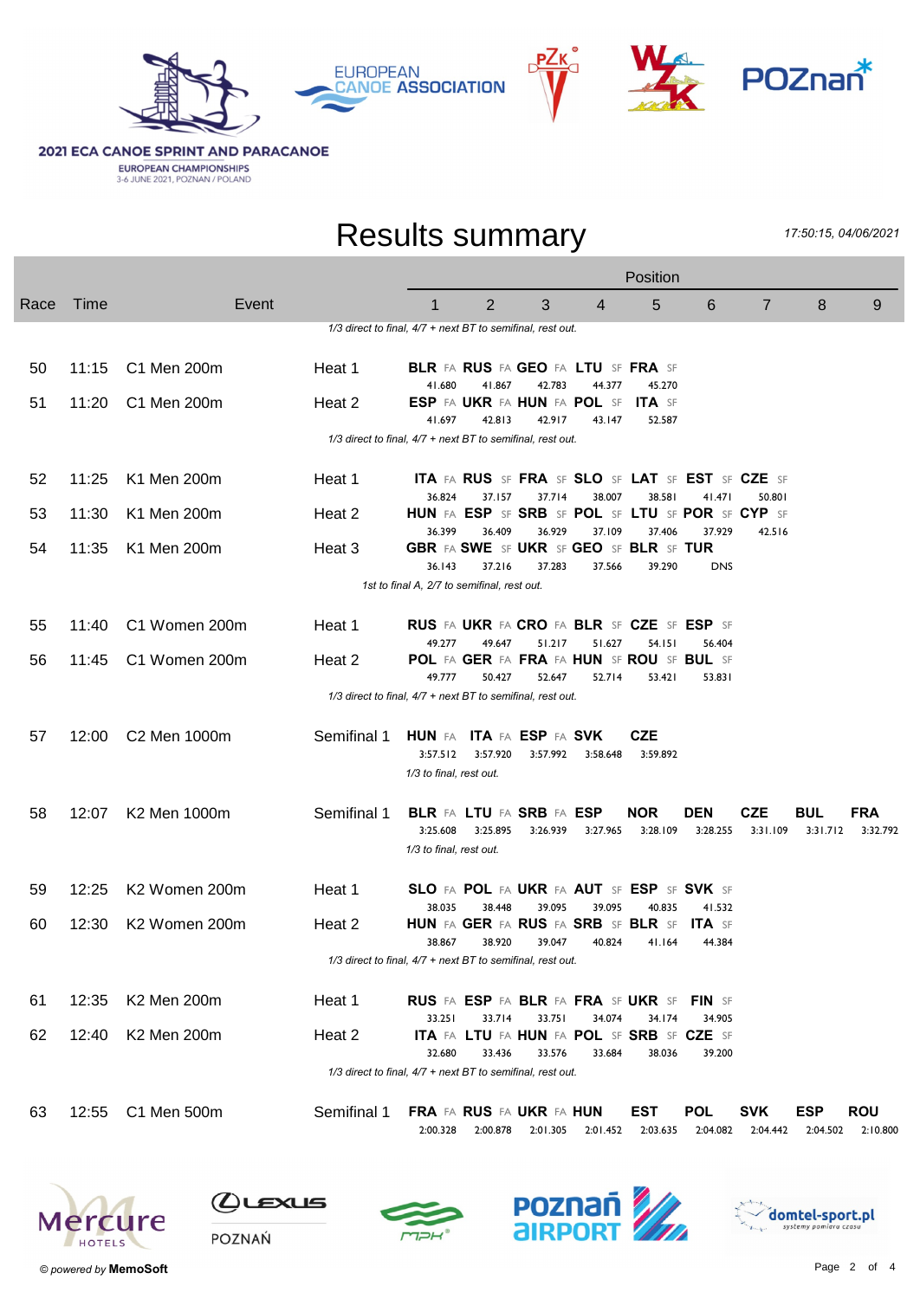





**2021 ECA CANOE SPRINT AND PARACANOE EUROPEAN CHAMPIONSHIPS**<br>3-6 JUNE 2021, POZNAN / POLAND

### Results summary

17:50:15, 04/06/2021

|      |       |               |                                                            |                                                                        |          |          |          | Position                                            |                                                                   |                        |                        |                        |
|------|-------|---------------|------------------------------------------------------------|------------------------------------------------------------------------|----------|----------|----------|-----------------------------------------------------|-------------------------------------------------------------------|------------------------|------------------------|------------------------|
| Race | Time  | Event         |                                                            | 1                                                                      | 2        | 3        | 4        | 5                                                   | 6                                                                 | 7                      | 8                      | 9                      |
|      |       |               | 1/3 direct to final, 4/7 + next BT to semifinal, rest out. |                                                                        |          |          |          |                                                     |                                                                   |                        |                        |                        |
| 50   | 11:15 | C1 Men 200m   | Heat 1                                                     | BLR FA RUS FA GEO FA LTU SF FRA SF<br>41.680                           | 41.867   | 42.783   | 44.377   | 45.270                                              |                                                                   |                        |                        |                        |
| 51   | 11:20 | C1 Men 200m   | Heat 2                                                     | ESP FA UKR FA HUN FA POL SF<br>41.697                                  | 42.813   | 42.917   | 43.147   | <b>ITA</b> SF<br>52.587                             |                                                                   |                        |                        |                        |
|      |       |               | 1/3 direct to final, 4/7 + next BT to semifinal, rest out. |                                                                        |          |          |          |                                                     |                                                                   |                        |                        |                        |
| 52   | 11:25 | K1 Men 200m   | Heat 1                                                     | 36.824                                                                 | 37.157   | 37.714   | 38.007   | 38.581                                              | <b>ITA FA RUS SF FRA SF SLO SF LAT SF EST SF CZE SF</b><br>41.471 | 50.801                 |                        |                        |
| 53   | 11:30 | K1 Men 200m   | Heat 2                                                     | HUN FA ESP SF SRB SF POL SF LTU SF POR SF CYP SF<br>36.399             | 36.409   | 36.929   | 37.109   | 37.406                                              | 37.929                                                            | 42.516                 |                        |                        |
| 54   | 11:35 | K1 Men 200m   | Heat 3                                                     | GBR FA SWE SF UKR SF GEO SF BLR SF TUR<br>36.143                       | 37.216   | 37.283   | 37.566   | 39.290                                              | <b>DNS</b>                                                        |                        |                        |                        |
|      |       |               |                                                            | 1st to final A, 2/7 to semifinal, rest out.                            |          |          |          |                                                     |                                                                   |                        |                        |                        |
| 55   | 11:40 | C1 Women 200m | Heat 1                                                     | RUS FA UKR FA CRO FA BLR SF CZE SF ESP SF                              |          |          |          |                                                     |                                                                   |                        |                        |                        |
| 56   | 11:45 | C1 Women 200m | Heat 2                                                     | 49.277<br>POL FA GER FA FRA FA HUN SF ROU SF BUL SF                    | 49.647   | 51.217   | 51.627   | 54.151                                              | 56.404                                                            |                        |                        |                        |
|      |       |               | 1/3 direct to final, 4/7 + next BT to semifinal, rest out. | 49.777                                                                 | 50.427   | 52.647   | 52.714   | 53.421                                              | 53.831                                                            |                        |                        |                        |
| 57   | 12:00 | C2 Men 1000m  | Semifinal 1                                                | <b>HUN</b> FA ITA FA ESP FA SVK<br>3:57.512<br>1/3 to final, rest out. | 3:57.920 | 3:57.992 | 3:58.648 | <b>CZE</b><br>3:59.892                              |                                                                   |                        |                        |                        |
| 58   | 12:07 | K2 Men 1000m  | Semifinal 1                                                | <b>BLR FA LTU FA SRB FA ESP</b><br>3:25.608<br>1/3 to final, rest out. | 3:25.895 | 3:26.939 | 3:27.965 | <b>NOR</b><br>3:28.109                              | <b>DEN</b><br>3:28.255                                            | <b>CZE</b><br>3:31.109 | <b>BUL</b><br>3:31.712 | FRA<br>3:32.792        |
| 59   | 12:25 | K2 Women 200m | Heat 1                                                     | SLO FA POL FA UKR FA AUT SF ESP SF SVK SF                              |          |          |          |                                                     |                                                                   |                        |                        |                        |
| 60   | 12:30 | K2 Women 200m | Heat 2                                                     | 38.035<br>HUN FA GER FA RUS FA SRB SF BLR SF                           | 38.448   | 39.095   | 39.095   | 40.835                                              | 41.532<br><b>ITA</b> SF                                           |                        |                        |                        |
|      |       |               | 1/3 direct to final, 4/7 + next BT to semifinal, rest out. | 38.867                                                                 | 38.920   | 39.047   | 40.824   | 41.164                                              | 44.384                                                            |                        |                        |                        |
| 61   | 12:35 | K2 Men 200m   | Heat 1                                                     | RUS FA ESP FA BLR FA FRA SF UKR SF FIN SF                              |          |          |          |                                                     |                                                                   |                        |                        |                        |
| 62   | 12:40 | K2 Men 200m   | Heat 2                                                     | 33.251                                                                 | 33.714   | 33.751   | 34.074   | 34.174<br>ITA FA LTU FA HUN FA POL SF SRB SF CZE SF | 34.905                                                            |                        |                        |                        |
|      |       |               | 1/3 direct to final, 4/7 + next BT to semifinal, rest out. | 32.680                                                                 | 33.436   | 33.576   | 33.684   | 38.036                                              | 39.200                                                            |                        |                        |                        |
| 63   | 12:55 | C1 Men 500m   | Semifinal 1                                                | FRA FA RUS FA UKR FA HUN<br>2:00.328                                   | 2:00.878 | 2:01.305 | 2:01.452 | <b>EST</b><br>2:03.635                              | <b>POL</b><br>2:04.082                                            | <b>SVK</b><br>2:04.442 | <b>ESP</b><br>2:04.502 | <b>ROU</b><br>2:10.800 |



 $Q$ ustus





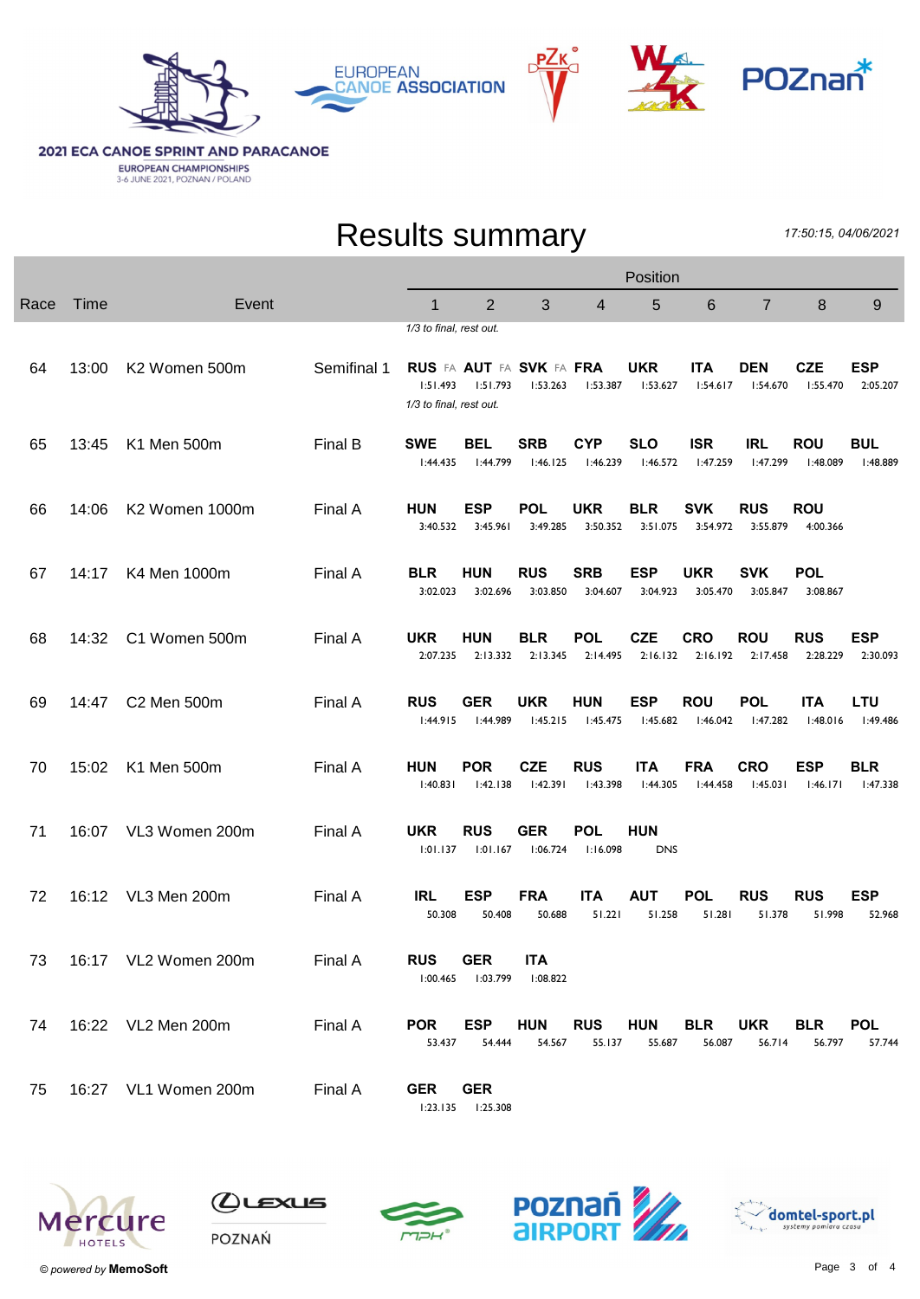



**2021 ECA CANOE SPRINT AND PARACANOE EUROPEAN CHAMPIONSHIPS**<br>3-6 JUNE 2021, POZNAN / POLAND

## Results summary

17:50:15, 04/06/2021

|      |       |                         | Position    |                                                                |                        |                                             |                        |                          |                        |                        |                        |                        |
|------|-------|-------------------------|-------------|----------------------------------------------------------------|------------------------|---------------------------------------------|------------------------|--------------------------|------------------------|------------------------|------------------------|------------------------|
| Race | Time  | Event                   |             | 1                                                              | 2                      | 3                                           | 4                      | 5                        | $6\phantom{1}6$        | $\overline{7}$         | $\bf 8$                | 9                      |
| 64   | 13:00 | K2 Women 500m           | Semifinal 1 | 1/3 to final, rest out.<br>1:51.493<br>1/3 to final, rest out. | 1:51.793               | <b>RUS FA AUT FA SVK FA FRA</b><br>1:53.263 | 1:53.387               | <b>UKR</b><br>1:53.627   | <b>ITA</b><br>1:54.617 | <b>DEN</b><br>1:54.670 | <b>CZE</b><br>I:55.470 | <b>ESP</b><br>2:05.207 |
| 65   | 13:45 | K1 Men 500m             | Final B     | <b>SWE</b><br>1:44.435                                         | BEL<br>1:44.799        | <b>SRB</b><br>1:46.125                      | <b>CYP</b><br>1:46.239 | <b>SLO</b><br>1:46.572   | <b>ISR</b><br>1:47.259 | IRL<br>I:47.299        | <b>ROU</b><br>I:48.089 | <b>BUL</b><br>1:48.889 |
| 66   | 14:06 | K2 Women 1000m          | Final A     | <b>HUN</b><br>3:40.532                                         | <b>ESP</b><br>3:45.961 | <b>POL</b><br>3:49.285                      | <b>UKR</b><br>3:50.352 | <b>BLR</b><br>3:51.075   | <b>SVK</b><br>3:54.972 | <b>RUS</b><br>3:55.879 | <b>ROU</b><br>4:00.366 |                        |
| 67   | 14:17 | K4 Men 1000m            | Final A     | <b>BLR</b><br>3:02.023                                         | <b>HUN</b><br>3:02.696 | <b>RUS</b><br>3:03.850                      | <b>SRB</b><br>3:04.607 | <b>ESP</b><br>3:04.923   | <b>UKR</b><br>3:05.470 | <b>SVK</b><br>3:05.847 | <b>POL</b><br>3:08.867 |                        |
| 68   | 14:32 | C1 Women 500m           | Final A     | <b>UKR</b><br>2:07.235                                         | <b>HUN</b><br>2:13.332 | <b>BLR</b><br>2:13.345                      | <b>POL</b><br>2:14.495 | <b>CZE</b><br>2:16.132   | <b>CRO</b><br>2:16.192 | <b>ROU</b><br>2:17.458 | <b>RUS</b><br>2:28.229 | <b>ESP</b><br>2:30.093 |
| 69   | 14:47 | C <sub>2</sub> Men 500m | Final A     | <b>RUS</b><br>1:44.915                                         | <b>GER</b><br>l:44.989 | <b>UKR</b><br>1:45.215                      | <b>HUN</b><br>1:45.475 | <b>ESP</b><br>l:45.682   | <b>ROU</b><br>l:46.042 | <b>POL</b><br>l:47.282 | <b>ITA</b><br>1:48.016 | LTU<br>l:49.486        |
| 70   | 15:02 | K1 Men 500m             | Final A     | <b>HUN</b><br>1:40.831                                         | <b>POR</b><br>1:42.138 | <b>CZE</b><br>l:42.391                      | <b>RUS</b><br>1:43.398 | <b>ITA</b><br>1:44.305   | <b>FRA</b><br>1:44.458 | <b>CRO</b><br>1:45.031 | <b>ESP</b><br>1:46.171 | <b>BLR</b><br>1:47.338 |
| 71   | 16:07 | VL3 Women 200m          | Final A     | <b>UKR</b><br>1:01.137                                         | <b>RUS</b><br>1:01.167 | <b>GER</b><br>1:06.724                      | <b>POL</b><br>1:16.098 | <b>HUN</b><br><b>DNS</b> |                        |                        |                        |                        |
| 72   | 16:12 | VL3 Men 200m            | Final A     | <b>IRL</b><br>50.308                                           | <b>ESP</b><br>50.408   | <b>FRA</b><br>50.688                        | <b>ITA</b><br>51.221   | <b>AUT</b><br>51.258     | <b>POL</b><br>51.281   | <b>RUS</b><br>51.378   | <b>RUS</b><br>51.998   | <b>ESP</b><br>52.968   |
| 73   |       | 16:17 VL2 Women 200m    | Final A     | <b>RUS</b><br>1:00.465                                         | <b>GER</b><br>1:03.799 | <b>ITA</b><br>1:08.822                      |                        |                          |                        |                        |                        |                        |
| 74   |       | 16:22 VL2 Men 200m      | Final A     | <b>POR</b><br>53.437                                           | <b>ESP</b><br>54.444   | <b>HUN</b><br>54.567                        | <b>RUS</b><br>55.137   | <b>HUN</b><br>55.687     | <b>BLR</b><br>56.087   | <b>UKR</b><br>56.714   | <b>BLR</b><br>56.797   | <b>POL</b><br>57.744   |
| 75   |       | 16:27 VL1 Women 200m    | Final A     | <b>GER</b><br>1:23.135                                         | <b>GER</b><br>1:25.308 |                                             |                        |                          |                        |                        |                        |                        |